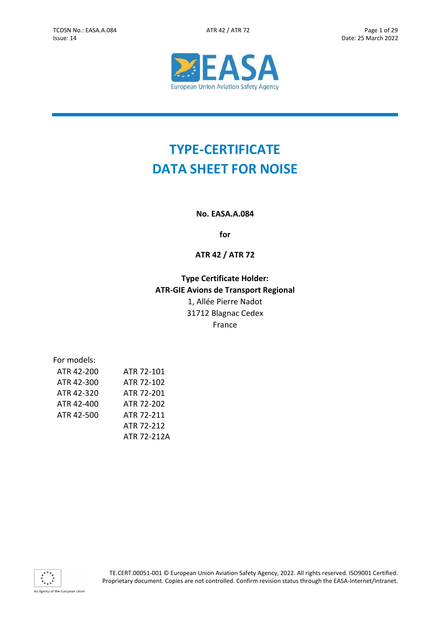

# **TYPE-CERTIFICATE DATA SHEET FOR NOISE**

**No. EASA.A.084**

**for**

### **ATR 42 / ATR 72**

**Type Certificate Holder: ATR-GIE Avions de Transport Regional** 1, Allée Pierre Nadot 31712 Blagnac Cedex France

| For models: |             |
|-------------|-------------|
| ATR 42-200  | ATR 72-101  |
| ATR 42-300  | ATR 72-102  |
| ATR 42-320  | ATR 72-201  |
| ATR 42-400  | ATR 72-202  |
| ATR 42-500  | ATR 72-211  |
|             | ATR 72-212  |
|             | ATR 72-212A |

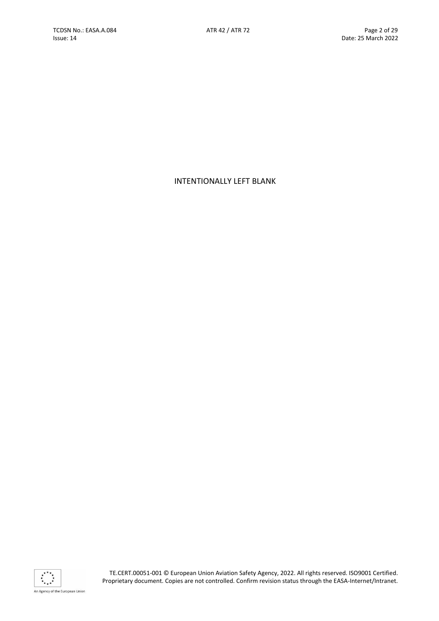## INTENTIONALLY LEFT BLANK

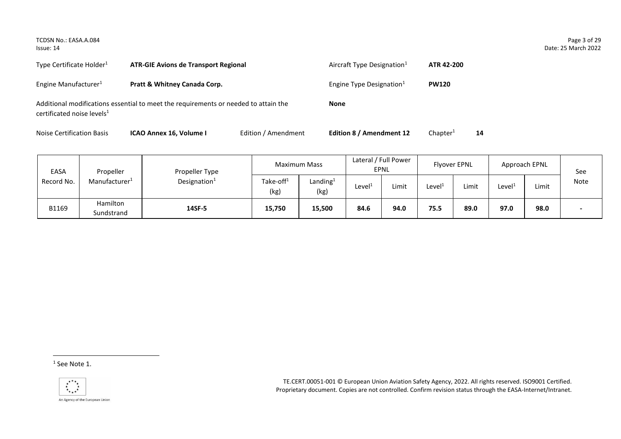| TCDSN No.: EASA.A.084<br>Issue: 14     |                                                                                     |                                        |              | Date: 25 March 2022 |
|----------------------------------------|-------------------------------------------------------------------------------------|----------------------------------------|--------------|---------------------|
| Type Certificate Holder <sup>1</sup>   | <b>ATR-GIE Avions de Transport Regional</b>                                         | Aircraft Type Designation <sup>1</sup> | ATR 42-200   |                     |
| Engine Manufacturer <sup>1</sup>       | <b>Pratt &amp; Whitney Canada Corp.</b>                                             | Engine Type Designation <sup>1</sup>   | <b>PW120</b> |                     |
| certificated noise levels <sup>1</sup> | Additional modifications essential to meet the requirements or needed to attain the | <b>None</b>                            |              |                     |

| EASA       | Propeller                 | Propeller Type<br>Designation $1$ | <b>Maximum Mass</b>  |                      | Lateral / Full Power<br><b>EPNL</b> |       | <b>Flyover EPNL</b> |       | Approach EPNL      |       | See  |
|------------|---------------------------|-----------------------------------|----------------------|----------------------|-------------------------------------|-------|---------------------|-------|--------------------|-------|------|
| Record No. | Manufacturer <sup>1</sup> |                                   | Take-off $1$<br>(kg) | Landing $^1$<br>(kg) | Level <sup>1</sup>                  | Limit | Level <del>'</del>  | Limit | Level <sup>1</sup> | Limit | Note |
| B1169      | Hamilton<br>Sundstrand    | 14SF-5                            | 15,750               | 15,500               | 84.6                                | 94.0  | 75.5                | 89.0  | 97.0               | 98.0  |      |

 $<sup>1</sup>$  See Note 1.</sup>

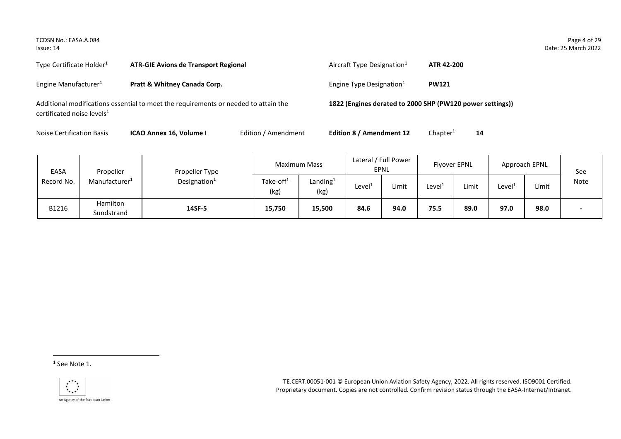| TCDSN No.: EASA.A.084<br>Issue: 14     |                                                                                     |                                                           |              | Page 4 of 29<br>Date: 25 March 2022 |
|----------------------------------------|-------------------------------------------------------------------------------------|-----------------------------------------------------------|--------------|-------------------------------------|
| Type Certificate Holder <sup>1</sup>   | <b>ATR-GIE Avions de Transport Regional</b>                                         | Aircraft Type Designation <sup>1</sup>                    | ATR 42-200   |                                     |
| Engine Manufacturer <sup>1</sup>       | <b>Pratt &amp; Whitney Canada Corp.</b>                                             | Engine Type Designation <sup>1</sup>                      | <b>PW121</b> |                                     |
| certificated noise levels <sup>1</sup> | Additional modifications essential to meet the requirements or needed to attain the | 1822 (Engines derated to 2000 SHP (PW120 power settings)) |              |                                     |

| EASA       | Propeller                     | Propeller Type  | Maximum Mass                  |                      | Lateral / Full Power<br><b>EPNL</b> |       | <b>Flyover EPNL</b> |       | Approach EPNL    |       | See  |
|------------|-------------------------------|-----------------|-------------------------------|----------------------|-------------------------------------|-------|---------------------|-------|------------------|-------|------|
| Record No. | Manufacturer <sup>1</sup>     | Designation $1$ | Take-off <sup>1</sup><br>(kg) | Landing $^1$<br>(kg) | Level <sup>1</sup>                  | Limit | Level'              | Limit | Level $^{\rm 1}$ | Limit | Note |
| B1216      | <b>Hamilton</b><br>Sundstrand | 14SF-5          | 15,750                        | 15,500               | 84.6                                | 94.0  | 75.5                | 89.0  | 97.0             | 98.0  |      |

 $<sup>1</sup>$  See Note 1.</sup>

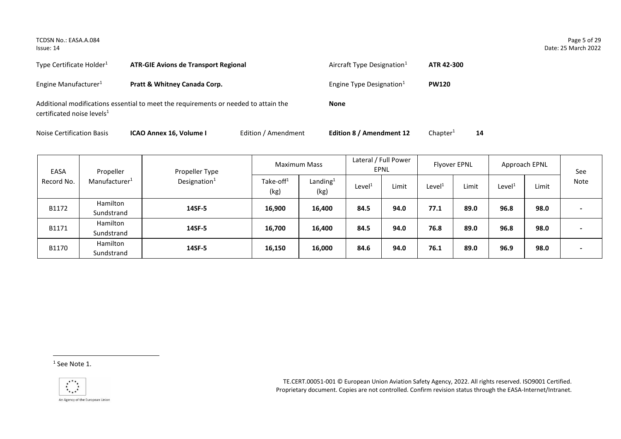| TCDSN No.: EASA.A.084<br>Issue: 14     |                                                                                     |                                        |              | Page 5 of 29<br>Date: 25 March 2022 |
|----------------------------------------|-------------------------------------------------------------------------------------|----------------------------------------|--------------|-------------------------------------|
| Type Certificate Holder <sup>1</sup>   | <b>ATR-GIE Avions de Transport Regional</b>                                         | Aircraft Type Designation <sup>1</sup> | ATR 42-300   |                                     |
| Engine Manufacturer <sup>1</sup>       | Pratt & Whitney Canada Corp.                                                        | Engine Type Designation <sup>1</sup>   | <b>PW120</b> |                                     |
| certificated noise levels <sup>1</sup> | Additional modifications essential to meet the requirements or needed to attain the | <b>None</b>                            |              |                                     |

| EASA<br>Record No. | Propeller<br>Manufacturer <sup>1</sup> | Propeller Type<br>Designation $1$ |                               | <b>Maximum Mass</b> |            | Lateral / Full Power<br><b>EPNL</b> |                    | <b>Flyover EPNL</b> |                    | Approach EPNL |      |
|--------------------|----------------------------------------|-----------------------------------|-------------------------------|---------------------|------------|-------------------------------------|--------------------|---------------------|--------------------|---------------|------|
|                    |                                        |                                   | Take-off <sup>1</sup><br>(kg) | Landing $1$<br>(kg) | Level $^1$ | Limit                               | Level <sup>1</sup> | Limit               | Level <sup>1</sup> | Limit         | Note |
| B1172              | Hamilton<br>Sundstrand                 | 14SF-5                            | 16,900                        | 16,400              | 84.5       | 94.0                                | 77.1               | 89.0                | 96.8               | 98.0          |      |
| B1171              | Hamilton<br>Sundstrand                 | 14SF-5                            | 16,700                        | 16,400              | 84.5       | 94.0                                | 76.8               | 89.0                | 96.8               | 98.0          |      |
| B1170              | Hamilton<br>Sundstrand                 | 14SF-5                            | 16,150                        | 16,000              | 84.6       | 94.0                                | 76.1               | 89.0                | 96.9               | 98.0          |      |

 $<sup>1</sup>$  See Note 1.</sup>

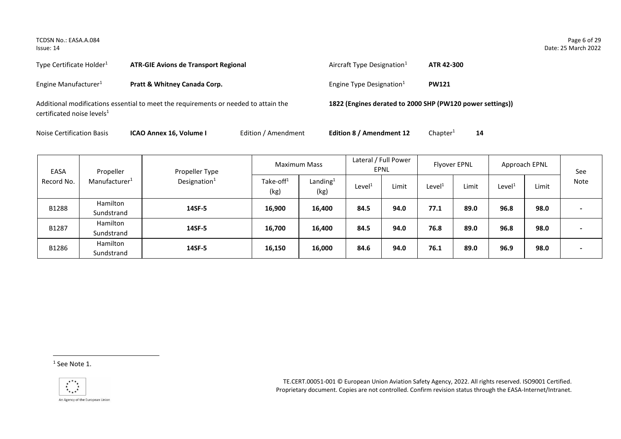| TCDSN No.: EASA.A.084<br>Issue: 14     |                                                                                     |                                                           |              | Page 6 of 29<br>Date: 25 March 2022 |
|----------------------------------------|-------------------------------------------------------------------------------------|-----------------------------------------------------------|--------------|-------------------------------------|
| Type Certificate Holder <sup>1</sup>   | <b>ATR-GIE Avions de Transport Regional</b>                                         | Aircraft Type Designation <sup>1</sup>                    | ATR 42-300   |                                     |
| Engine Manufacturer <sup>1</sup>       | Pratt & Whitney Canada Corp.                                                        | Engine Type Designation <sup>1</sup>                      | <b>PW121</b> |                                     |
| certificated noise levels <sup>1</sup> | Additional modifications essential to meet the requirements or needed to attain the | 1822 (Engines derated to 2000 SHP (PW120 power settings)) |              |                                     |

| EASA<br>Record No. | Propeller                 | Propeller Type  | Maximum Mass                  |                     | Lateral / Full Power<br>EPNL |       | <b>Flyover EPNL</b> |       | Approach EPNL |       | See  |
|--------------------|---------------------------|-----------------|-------------------------------|---------------------|------------------------------|-------|---------------------|-------|---------------|-------|------|
|                    | Manufacturer <sup>1</sup> | Designation $1$ | Take-off <sup>1</sup><br>(kg) | Landing $1$<br>(kg) | Level <sup>1</sup>           | Limit | Level <del>'</del>  | Limit | Level $^1$    | Limit | Note |
| B1288              | Hamilton<br>Sundstrand    | 14SF-5          | 16,900                        | 16,400              | 84.5                         | 94.0  | 77.1                | 89.0  | 96.8          | 98.0  |      |
| B1287              | Hamilton<br>Sundstrand    | 14SF-5          | 16,700                        | 16,400              | 84.5                         | 94.0  | 76.8                | 89.0  | 96.8          | 98.0  |      |
| B1286              | Hamilton<br>Sundstrand    | 14SF-5          | 16,150                        | 16,000              | 84.6                         | 94.0  | 76.1                | 89.0  | 96.9          | 98.0  |      |

 $<sup>1</sup>$  See Note 1.</sup>

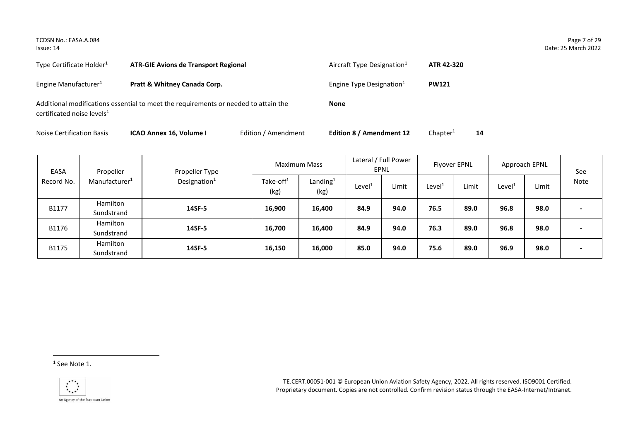| TCDSN No.: EASA.A.084<br>Issue: 14     |                                                                                     |                                        |              | Page 7 of 29<br>Date: 25 March 2022 |
|----------------------------------------|-------------------------------------------------------------------------------------|----------------------------------------|--------------|-------------------------------------|
| Type Certificate Holder <sup>1</sup>   | <b>ATR-GIE Avions de Transport Regional</b>                                         | Aircraft Type Designation <sup>1</sup> | ATR 42-320   |                                     |
| Engine Manufacturer <sup>1</sup>       | <b>Pratt &amp; Whitney Canada Corp.</b>                                             | Engine Type Designation <sup>1</sup>   | <b>PW121</b> |                                     |
| certificated noise levels <sup>1</sup> | Additional modifications essential to meet the requirements or needed to attain the | <b>None</b>                            |              |                                     |

| EASA<br>Record No. | Propeller<br>Manufacturer <sup>1</sup> | Propeller Type  | <b>Maximum Mass</b>           |                     | Lateral / Full Power<br><b>EPNL</b> |       | <b>Flyover EPNL</b> |       | Approach EPNL      |       | See  |
|--------------------|----------------------------------------|-----------------|-------------------------------|---------------------|-------------------------------------|-------|---------------------|-------|--------------------|-------|------|
|                    |                                        | Designation $1$ | Take-off <sup>1</sup><br>(kg) | Landing $1$<br>(kg) | Level $1$                           | Limit | Level $^1$          | Limit | Level <sup>1</sup> | Limit | Note |
| B1177              | Hamilton<br>Sundstrand                 | 14SF-5          | 16,900                        | 16,400              | 84.9                                | 94.0  | 76.5                | 89.0  | 96.8               | 98.0  |      |
| B1176              | Hamilton<br>Sundstrand                 | 14SF-5          | 16,700                        | 16,400              | 84.9                                | 94.0  | 76.3                | 89.0  | 96.8               | 98.0  |      |
| B1175              | Hamilton<br>Sundstrand                 | 14SF-5          | 16,150                        | 16,000              | 85.0                                | 94.0  | 75.6                | 89.0  | 96.9               | 98.0  |      |

 $<sup>1</sup>$  See Note 1.</sup>

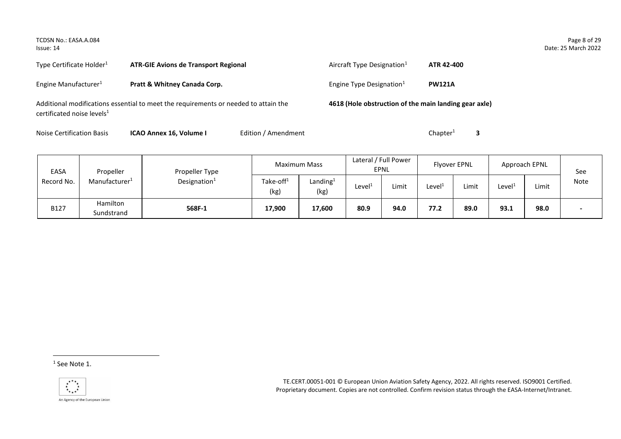| TCDSN No.: EASA.A.084<br>Issue: 14     |                                                                                     |                                                       | Date: 25 March 2022 | Page 8 of 29 |
|----------------------------------------|-------------------------------------------------------------------------------------|-------------------------------------------------------|---------------------|--------------|
| Type Certificate Holder <sup>1</sup>   | <b>ATR-GIE Avions de Transport Regional</b>                                         | Aircraft Type Designation <sup>1</sup>                | ATR 42-400          |              |
| Engine Manufacturer <sup>1</sup>       | Pratt & Whitney Canada Corp.                                                        | Engine Type Designation <sup>1</sup>                  | <b>PW121A</b>       |              |
| certificated noise levels <sup>1</sup> | Additional modifications essential to meet the requirements or needed to attain the | 4618 (Hole obstruction of the main landing gear axle) |                     |              |

Noise Certification Basis **ICAO Annex 16, Volume I** Edition / Amendment Chapter<sup>1</sup> 3

| EASA       | Propeller                                    | Propeller Type                |                      | Maximum Mass     |       | Lateral / Full Power<br><b>EPNL</b> |       | <b>Flyover EPNL</b> |       | Approach EPNL      |  |
|------------|----------------------------------------------|-------------------------------|----------------------|------------------|-------|-------------------------------------|-------|---------------------|-------|--------------------|--|
| Record No. | Designation $1$<br>Manufacturer <sup>1</sup> | Take-off <sup>1</sup><br>(kg) | Landing $^1$<br>(kg) | Level $^{\rm 1}$ | Limit | Level'                              | Limit | Level $^{\rm 1}$    | Limit | See<br><b>Note</b> |  |
| B127       | Hamilton<br>Sundstrand                       | 568F-1                        | 17,900               | 17,600           | 80.9  | 94.0                                | 77.2  | 89.0                | 93.1  | 98.0               |  |

 $<sup>1</sup>$  See Note 1.</sup>

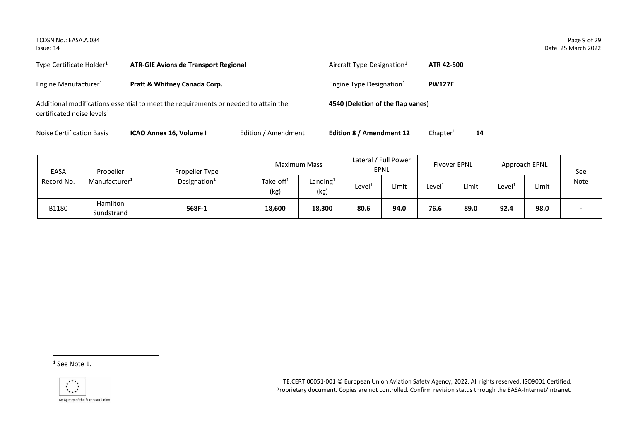| TCDSN No.: EASA.A.084<br>Issue: 14     |                                                                                     |                                        |               |
|----------------------------------------|-------------------------------------------------------------------------------------|----------------------------------------|---------------|
| Type Certificate Holder <sup>1</sup>   | <b>ATR-GIE Avions de Transport Regional</b>                                         | Aircraft Type Designation <sup>1</sup> | ATR 42-500    |
| Engine Manufacturer <sup>1</sup>       | Pratt & Whitney Canada Corp.                                                        | Engine Type Designation <sup>1</sup>   | <b>PW127E</b> |
| certificated noise levels <sup>1</sup> | Additional modifications essential to meet the requirements or needed to attain the | 4540 (Deletion of the flap vanes)      |               |

| <b>EASA</b> | Propeller                 | Propeller Type<br>Designation $1$ | Maximum Mass                  |                      | Lateral / Full Power<br><b>EPNL</b> |       | <b>Flyover EPNL</b> |       | Approach EPNL |       | See  |
|-------------|---------------------------|-----------------------------------|-------------------------------|----------------------|-------------------------------------|-------|---------------------|-------|---------------|-------|------|
| Record No.  | Manufacturer <sup>1</sup> |                                   | Take-off <sup>1</sup><br>(kg) | Landing $^1$<br>(kg) | Level $^1$                          | Limit | Level               | Limit | Level $^1$    | Limit | Note |
| B1180       | Hamilton<br>Sundstrand    | 568F-1                            | 18,600                        | 18,300               | 80.6                                | 94.0  | 76.6                | 89.0  | 92.4          | 98.0  |      |

1 See Note 1.

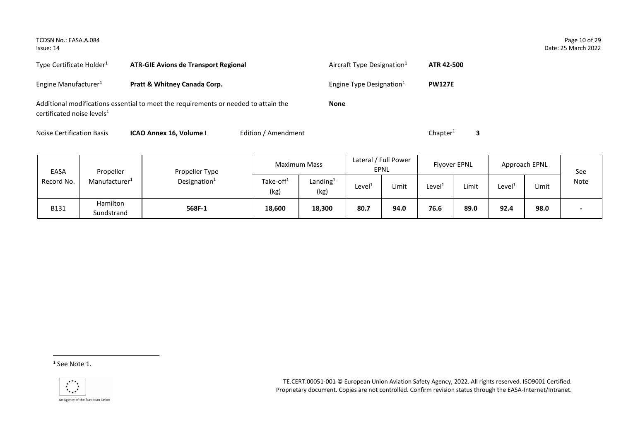| TCDSN No.: EASA.A.084<br>Issue: 14     |                                                                                     |                     |                                        |                      |   | Page 10 of 29<br>Date: 25 March 2022 |
|----------------------------------------|-------------------------------------------------------------------------------------|---------------------|----------------------------------------|----------------------|---|--------------------------------------|
| Type Certificate Holder <sup>1</sup>   | <b>ATR-GIE Avions de Transport Regional</b>                                         |                     | Aircraft Type Designation <sup>1</sup> | ATR 42-500           |   |                                      |
| Engine Manufacturer <sup>1</sup>       | Pratt & Whitney Canada Corp.                                                        |                     |                                        | <b>PW127E</b>        |   |                                      |
| certificated noise levels <sup>1</sup> | Additional modifications essential to meet the requirements or needed to attain the |                     | <b>None</b>                            |                      |   |                                      |
| Noise Certification Basis              | <b>ICAO Annex 16, Volume I</b>                                                      | Edition / Amendment |                                        | Chapter <sup>1</sup> | 3 |                                      |

| EASA<br>Record No. | Propeller<br>Manufacturer <sup>1</sup> | Propeller Type<br>Designation $1$ | <b>Maximum Mass</b>           |                     | Lateral / Full Power<br><b>EPNL</b> |       | Flyover EPNL     |       | Approach EPNL    |       | See         |
|--------------------|----------------------------------------|-----------------------------------|-------------------------------|---------------------|-------------------------------------|-------|------------------|-------|------------------|-------|-------------|
|                    |                                        |                                   | Take-off <sup>1</sup><br>(kg) | Landing $1$<br>(kg) | Level <sup>1</sup>                  | Limit | Level $^{\rm 1}$ | Limit | Level $^{\rm 1}$ | Limit | <b>Note</b> |
| B131               | Hamilton<br>Sundstrand                 | 568F-1                            | 18,600                        | 18,300              | 80.7                                | 94.0  | 76.6             | 89.0  | 92.4             | 98.0  |             |

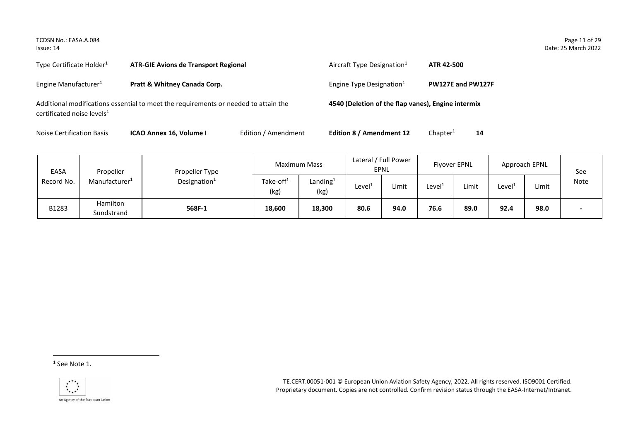| TCDSN No.: EASA.A.084<br>Issue: 14     |                                                                                     |                                                    |                   | Page 11 of 29<br>Date: 25 March 2022 |
|----------------------------------------|-------------------------------------------------------------------------------------|----------------------------------------------------|-------------------|--------------------------------------|
| Type Certificate Holder <sup>1</sup>   | <b>ATR-GIE Avions de Transport Regional</b>                                         | Aircraft Type Designation <sup>1</sup>             | ATR 42-500        |                                      |
| Engine Manufacturer <sup>1</sup>       | Pratt & Whitney Canada Corp.                                                        | Engine Type Designation <sup>1</sup>               | PW127E and PW127F |                                      |
| certificated noise levels <sup>1</sup> | Additional modifications essential to meet the requirements or needed to attain the | 4540 (Deletion of the flap vanes), Engine intermix |                   |                                      |

| EASA<br>Record No. | Propeller                     | Propeller Type<br>Designation $1$ | Maximum Mass                  |                      | Lateral / Full Power<br><b>EPNL</b> |       | <b>Flyover EPNL</b> |       | Approach EPNL |       | See  |
|--------------------|-------------------------------|-----------------------------------|-------------------------------|----------------------|-------------------------------------|-------|---------------------|-------|---------------|-------|------|
|                    | Manufacturer <sup>1</sup>     |                                   | Take-off <sup>1</sup><br>(kg) | Landing $^1$<br>(kg) | Level <sup>1</sup>                  | Limit | Level               | Limit | Level $^1$    | Limit | Note |
| B1283              | <b>Hamilton</b><br>Sundstrand | 568F-1                            | 18,600                        | 18,300               | 80.6                                | 94.0  | 76.6                | 89.0  | 92.4          | 98.0  |      |

1 See Note 1.

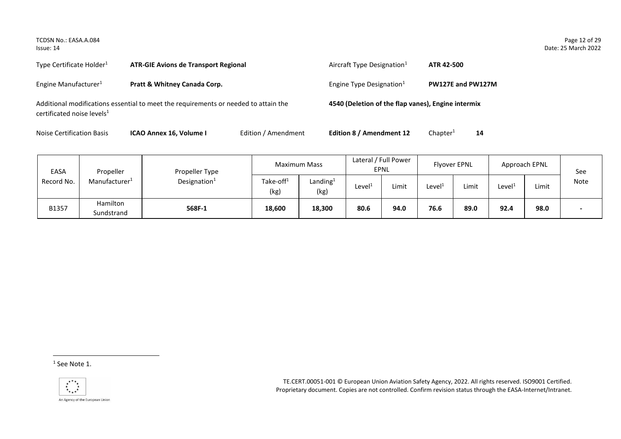| TCDSN No.: EASA.A.084<br>Issue: 14     |                                                                                     |                                                    | Date: 25 March 2022 | Page 12 of 29 |
|----------------------------------------|-------------------------------------------------------------------------------------|----------------------------------------------------|---------------------|---------------|
| Type Certificate Holder <sup>1</sup>   | <b>ATR-GIE Avions de Transport Regional</b>                                         | Aircraft Type Designation <sup>1</sup>             | ATR 42-500          |               |
| Engine Manufacturer <sup>1</sup>       | Pratt & Whitney Canada Corp.                                                        | Engine Type Designation <sup>1</sup>               | PW127E and PW127M   |               |
| certificated noise levels <sup>1</sup> | Additional modifications essential to meet the requirements or needed to attain the | 4540 (Deletion of the flap vanes), Engine intermix |                     |               |

| EASA<br>Propeller<br>Record No. |                               | Propeller Type<br>Designation $1$ | Maximum Mass                  |                     | Lateral / Full Power<br><b>EPNL</b> |       | <b>Flyover EPNL</b> |       | Approach EPNL      |       | See  |
|---------------------------------|-------------------------------|-----------------------------------|-------------------------------|---------------------|-------------------------------------|-------|---------------------|-------|--------------------|-------|------|
|                                 | Manufacturer <sup>1</sup>     |                                   | Take-off <sup>1</sup><br>(kg) | Landing $1$<br>(kg) | Level $^1$                          | Limit | Level <sup>1</sup>  | Limit | Level <sup>1</sup> | Limit | Note |
| B1357                           | <b>Hamilton</b><br>Sundstrand | 568F-1                            | 18,600                        | 18,300              | 80.6                                | 94.0  | 76.6                | 89.0  | 92.4               | 98.0  |      |

1 See Note 1.

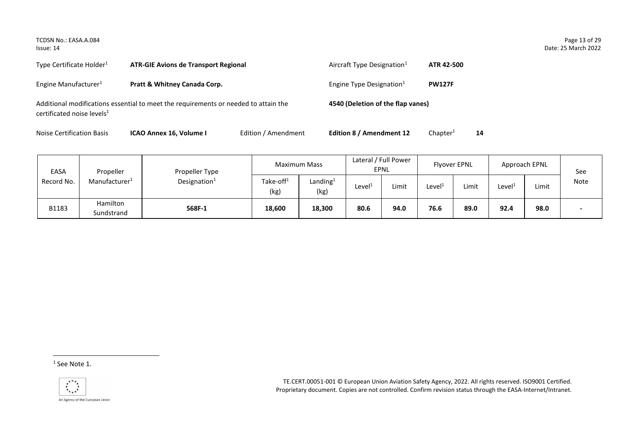| TCDSN No.: EASA.A.084<br>Issue: 14     |                                                                                     |                                        |               | Date: 25 March 2022 |
|----------------------------------------|-------------------------------------------------------------------------------------|----------------------------------------|---------------|---------------------|
| Type Certificate Holder <sup>1</sup>   | <b>ATR-GIE Avions de Transport Regional</b>                                         | Aircraft Type Designation <sup>1</sup> | ATR 42-500    |                     |
| Engine Manufacturer <sup>1</sup>       | Pratt & Whitney Canada Corp.                                                        | Engine Type Designation <sup>1</sup>   | <b>PW127F</b> |                     |
| certificated noise levels <sup>1</sup> | Additional modifications essential to meet the requirements or needed to attain the | 4540 (Deletion of the flap vanes)      |               |                     |

| <b>EASA</b> | Propeller<br>Propeller Type<br>Designation $1$<br>Manufacturer <sup>1</sup> |                               | Maximum Mass         |            | Lateral / Full Power<br><b>EPNL</b> |       | <b>Flyover EPNL</b> |                  | Approach EPNL |      | See |
|-------------|-----------------------------------------------------------------------------|-------------------------------|----------------------|------------|-------------------------------------|-------|---------------------|------------------|---------------|------|-----|
| Record No.  |                                                                             | Take-off <sup>1</sup><br>(kg) | Landing $^1$<br>(kg) | Level $^1$ | Limit                               | Level | Limit               | Level $^{\rm 1}$ | Limit         | Note |     |
| B1183       | Hamilton<br>Sundstrand                                                      | 568F-1                        | 18,600               | 18,300     | 80.6                                | 94.0  | 76.6                | 89.0             | 92.4          | 98.0 |     |

1 See Note 1.

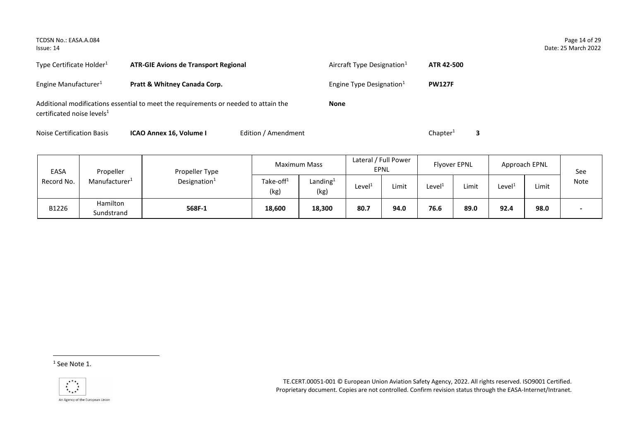| TCDSN No.: EASA.A.084<br>Issue: 14     |                                                                                     |                     |                                        |                      |   | Page 14 of 29<br>Date: 25 March 2022 |  |
|----------------------------------------|-------------------------------------------------------------------------------------|---------------------|----------------------------------------|----------------------|---|--------------------------------------|--|
| Type Certificate Holder <sup>1</sup>   | <b>ATR-GIE Avions de Transport Regional</b>                                         |                     | Aircraft Type Designation <sup>1</sup> | ATR 42-500           |   |                                      |  |
| Engine Manufacturer <sup>1</sup>       | Pratt & Whitney Canada Corp.                                                        |                     | Engine Type Designation <sup>1</sup>   | <b>PW127F</b>        |   |                                      |  |
| certificated noise levels <sup>1</sup> | Additional modifications essential to meet the requirements or needed to attain the |                     | <b>None</b>                            |                      |   |                                      |  |
| Noise Certification Basis              | <b>ICAO Annex 16, Volume I</b>                                                      | Edition / Amendment |                                        | Chapter <sup>1</sup> | 3 |                                      |  |

| EASA       | Propeller                 | Propeller Type  |                      | Maximum Mass        |       | Lateral / Full Power<br>EPNL |            | <b>Flyover EPNL</b> |                    | Approach EPNL | See         |
|------------|---------------------------|-----------------|----------------------|---------------------|-------|------------------------------|------------|---------------------|--------------------|---------------|-------------|
| Record No. | Manufacturer <sup>1</sup> | Designation $1$ | Take-off $1$<br>(kg) | Landing $1$<br>(kg) | Level | Limit                        | Level $^1$ | Limit               | Level <sup>1</sup> | Limit         | <b>Note</b> |
| B1226      | Hamilton<br>Sundstrand    | 568F-1          | 18,600               | 18,300              | 80.7  | 94.0                         | 76.6       | 89.0                | 92.4               | 98.0          |             |

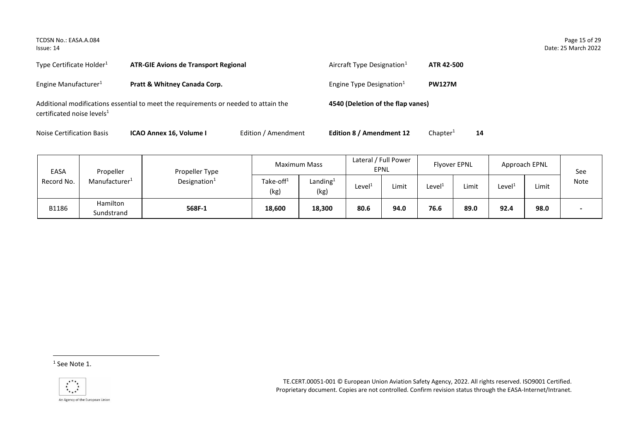| TCDSN No.: EASA.A.084<br>Issue: 14     |                                                                                     |                                        |               | Date: 25 March 2022 |
|----------------------------------------|-------------------------------------------------------------------------------------|----------------------------------------|---------------|---------------------|
| Type Certificate Holder <sup>1</sup>   | <b>ATR-GIE Avions de Transport Regional</b>                                         | Aircraft Type Designation <sup>1</sup> | ATR 42-500    |                     |
| Engine Manufacturer <sup>1</sup>       | Pratt & Whitney Canada Corp.                                                        | Engine Type Designation <sup>1</sup>   | <b>PW127M</b> |                     |
| certificated noise levels <sup>1</sup> | Additional modifications essential to meet the requirements or needed to attain the | 4540 (Deletion of the flap vanes)      |               |                     |

| <b>EASA</b> | Propeller                 | Propeller Type  |                               | Maximum Mass         |            | Lateral / Full Power<br><b>EPNL</b> |       | <b>Flyover EPNL</b> |                  | Approach EPNL | See  |
|-------------|---------------------------|-----------------|-------------------------------|----------------------|------------|-------------------------------------|-------|---------------------|------------------|---------------|------|
| Record No.  | Manufacturer <sup>1</sup> | Designation $1$ | Take-off <sup>1</sup><br>(kg) | Landing $^1$<br>(kg) | Level $^1$ | Limit                               | Level | Limit               | Level $^{\rm 1}$ | Limit         | Note |
| B1186       | Hamilton<br>Sundstrand    | 568F-1          | 18,600                        | 18,300               | 80.6       | 94.0                                | 76.6  | 89.0                | 92.4             | 98.0          |      |

1 See Note 1.

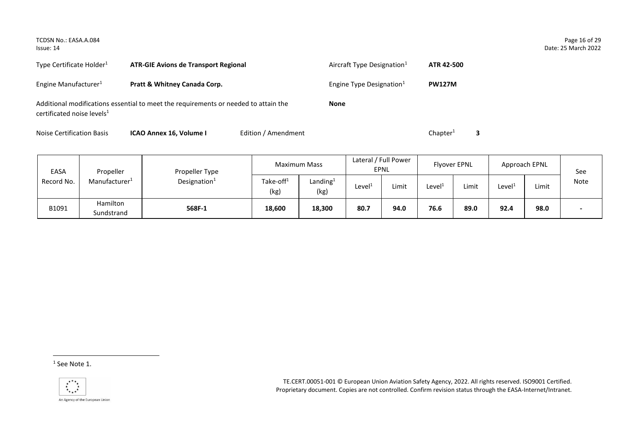| TCDSN No.: EASA.A.084<br>Issue: 14     |                                                                                     |                     |                                        |                      |   | Page 16 of 29<br>Date: 25 March 2022 |
|----------------------------------------|-------------------------------------------------------------------------------------|---------------------|----------------------------------------|----------------------|---|--------------------------------------|
| Type Certificate Holder <sup>1</sup>   | <b>ATR-GIE Avions de Transport Regional</b>                                         |                     | Aircraft Type Designation <sup>1</sup> | ATR 42-500           |   |                                      |
| Engine Manufacturer <sup>1</sup>       | <b>Pratt &amp; Whitney Canada Corp.</b>                                             |                     | Engine Type Designation <sup>1</sup>   | <b>PW127M</b>        |   |                                      |
| certificated noise levels <sup>1</sup> | Additional modifications essential to meet the requirements or needed to attain the |                     | <b>None</b>                            |                      |   |                                      |
| Noise Certification Basis              | <b>ICAO Annex 16, Volume I</b>                                                      | Edition / Amendment |                                        | Chapter <sup>1</sup> | 3 |                                      |

| EASA       | Propeller                 | Propeller Type  |                               | <b>Maximum Mass</b> |       | Lateral / Full Power<br><b>EPNL</b> |                  | Flyover EPNL |                  | Approach EPNL | See  |
|------------|---------------------------|-----------------|-------------------------------|---------------------|-------|-------------------------------------|------------------|--------------|------------------|---------------|------|
| Record No. | Manufacturer <sup>1</sup> | Designation $1$ | Take-off <sup>1</sup><br>(kg) | Landing $1$<br>(kg) | Level | Limit                               | Level $^{\rm 1}$ | Limit        | Level $^{\rm 1}$ | Limit         | Note |
| B1091      | Hamilton<br>Sundstrand    | 568F-1          | 18,600                        | 18,300              | 80.7  | 94.0                                | 76.6             | 89.0         | 92.4             | 98.0          |      |

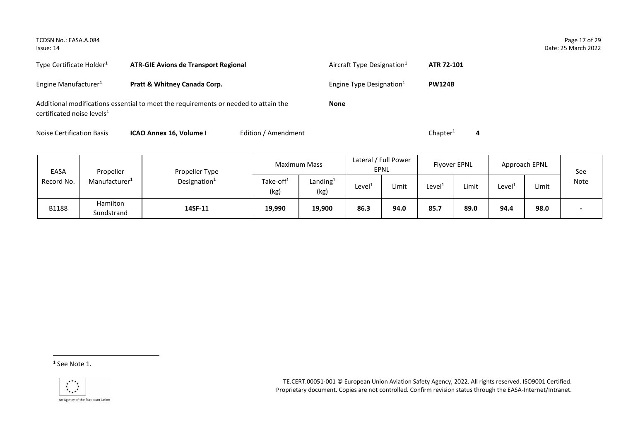| TCDSN No.: EASA.A.084<br>Issue: 14     |                                                                                     |                     |                                        |                      |   | Page 17 of 29<br>Date: 25 March 2022 |
|----------------------------------------|-------------------------------------------------------------------------------------|---------------------|----------------------------------------|----------------------|---|--------------------------------------|
| Type Certificate Holder <sup>1</sup>   | <b>ATR-GIE Avions de Transport Regional</b>                                         |                     | Aircraft Type Designation <sup>1</sup> | ATR 72-101           |   |                                      |
| Engine Manufacturer <sup>1</sup>       | <b>Pratt &amp; Whitney Canada Corp.</b>                                             |                     | Engine Type Designation <sup>1</sup>   | <b>PW124B</b>        |   |                                      |
| certificated noise levels <sup>1</sup> | Additional modifications essential to meet the requirements or needed to attain the |                     | <b>None</b>                            |                      |   |                                      |
| Noise Certification Basis              | ICAO Annex 16, Volume I                                                             | Edition / Amendment |                                        | Chapter <sup>1</sup> | 4 |                                      |

| EASA       | Propeller                 | Propeller Type  |                               | Maximum Mass                 |        | Lateral / Full Power<br><b>EPNL</b> |                    | <b>Flyover EPNL</b> |                    | Approach EPNL | See  |
|------------|---------------------------|-----------------|-------------------------------|------------------------------|--------|-------------------------------------|--------------------|---------------------|--------------------|---------------|------|
| Record No. | Manufacturer <sup>1</sup> | Designation $1$ | Take-off <sup>1</sup><br>(kg) | Landing <sup>1</sup><br>(kg) | Level' | Limit                               | Level <sup>.</sup> | Limit               | Level <sup>1</sup> | Limit         | Note |
| B1188      | Hamilton<br>Sundstrand    | 14SF-11         | 19,990                        | 19,900                       | 86.3   | 94.0                                | 85.7               | 89.0                | 94.4               | 98.0          |      |

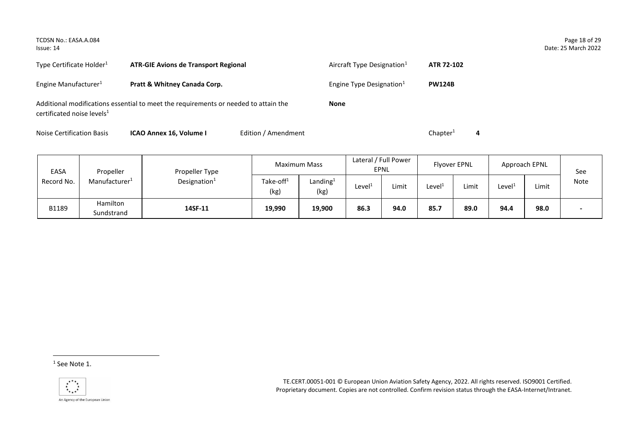| TCDSN No.: EASA.A.084<br>Issue: 14     |                                                                                     |                     |                                        |                      |   | Page 18 of 29<br>Date: 25 March 2022 |
|----------------------------------------|-------------------------------------------------------------------------------------|---------------------|----------------------------------------|----------------------|---|--------------------------------------|
| Type Certificate Holder <sup>1</sup>   | <b>ATR-GIE Avions de Transport Regional</b>                                         |                     | Aircraft Type Designation <sup>1</sup> | ATR 72-102           |   |                                      |
| Engine Manufacturer <sup>1</sup>       | <b>Pratt &amp; Whitney Canada Corp.</b>                                             |                     | Engine Type Designation <sup>1</sup>   | <b>PW124B</b>        |   |                                      |
| certificated noise levels <sup>1</sup> | Additional modifications essential to meet the requirements or needed to attain the |                     | <b>None</b>                            |                      |   |                                      |
| Noise Certification Basis              | <b>ICAO Annex 16, Volume I</b>                                                      | Edition / Amendment |                                        | Chapter <sup>1</sup> | 4 |                                      |

| EASA       | Propeller                 | Propeller Type  |                               | Maximum Mass                 |        | Lateral / Full Power<br><b>EPNL</b> |                    | <b>Flyover EPNL</b> |                    | Approach EPNL | See  |
|------------|---------------------------|-----------------|-------------------------------|------------------------------|--------|-------------------------------------|--------------------|---------------------|--------------------|---------------|------|
| Record No. | Manufacturer <sup>1</sup> | Designation $1$ | Take-off <sup>1</sup><br>(kg) | Landing <sup>1</sup><br>(kg) | Level' | Limit                               | Level <sup>.</sup> | Limit               | Level <sup>1</sup> | Limit         | Note |
| B1189      | Hamilton<br>Sundstrand    | 14SF-11         | 19,990                        | 19,900                       | 86.3   | 94.0                                | 85.7               | 89.0                | 94.4               | 98.0          |      |

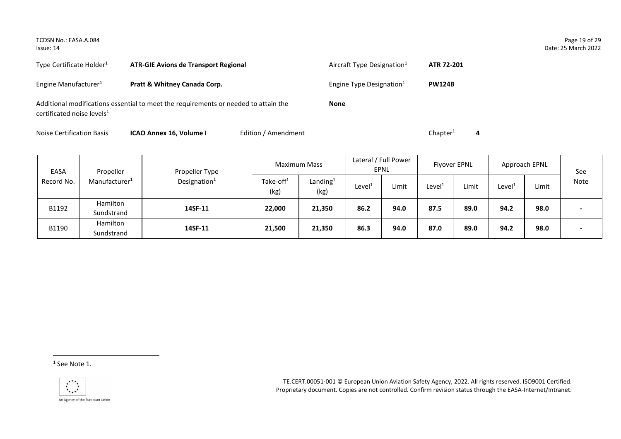| TCDSN No.: EASA.A.084<br>Issue: 14     |                                                                                     |                                        |               | Page 19 of 29<br>Date: 25 March 2022 |
|----------------------------------------|-------------------------------------------------------------------------------------|----------------------------------------|---------------|--------------------------------------|
| Type Certificate Holder <sup>1</sup>   | <b>ATR-GIE Avions de Transport Regional</b>                                         | Aircraft Type Designation <sup>1</sup> | ATR 72-201    |                                      |
| Engine Manufacturer <sup>1</sup>       | <b>Pratt &amp; Whitney Canada Corp.</b>                                             | Engine Type Designation <sup>1</sup>   | <b>PW124B</b> |                                      |
| certificated noise levels <sup>1</sup> | Additional modifications essential to meet the requirements or needed to attain the | <b>None</b>                            |               |                                      |

Noise Certification Basis **ICAO Annex 16, Volume I** Edition / Amendment Chapter<sup>1</sup> 4

| EASA       | Propeller                 | Propeller Type  | <b>Maximum Mass</b>           |                     |                    | Lateral / Full Power<br><b>Flyover EPNL</b><br>EPNL |                    |       | Approach EPNL      |       | See         |
|------------|---------------------------|-----------------|-------------------------------|---------------------|--------------------|-----------------------------------------------------|--------------------|-------|--------------------|-------|-------------|
| Record No. | Manufacturer <sup>1</sup> | Designation $1$ | Take-off <sup>1</sup><br>(kg) | Landing $1$<br>(kg) | Level <sup>1</sup> | Limit                                               | Level <sup>1</sup> | Limit | Level <sup>1</sup> | Limit | <b>Note</b> |
| B1192      | Hamilton                  | 14SF-11         | 22,000                        | 21,350              | 86.2               | 94.0                                                | 87.5               | 89.0  | 94.2               | 98.0  |             |
|            | Sundstrand                |                 |                               |                     |                    |                                                     |                    |       |                    |       |             |
| B1190      | Hamilton                  | 14SF-11         | 21,500                        | 21,350              | 86.3               | 94.0                                                | 87.0               | 89.0  | 94.2               | 98.0  |             |
|            | Sundstrand                |                 |                               |                     |                    |                                                     |                    |       |                    |       |             |

1 See Note 1.

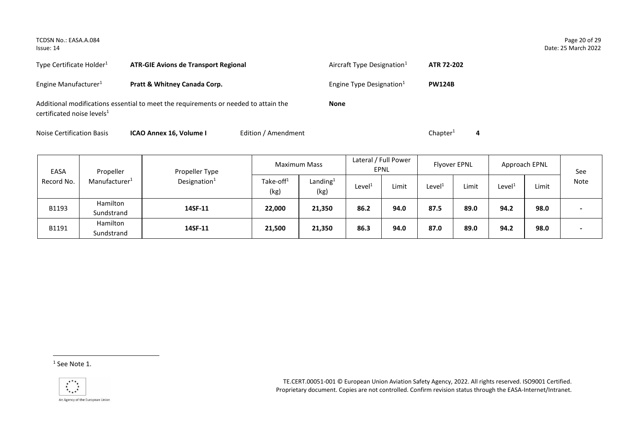| TCDSN No.: EASA.A.084<br>Issue: 14     |                                                                                     |                                        |               | Date: 25 March 2022 |
|----------------------------------------|-------------------------------------------------------------------------------------|----------------------------------------|---------------|---------------------|
| Type Certificate Holder <sup>1</sup>   | <b>ATR-GIE Avions de Transport Regional</b>                                         | Aircraft Type Designation <sup>1</sup> | ATR 72-202    |                     |
| Engine Manufacturer <sup>1</sup>       | Pratt & Whitney Canada Corp.                                                        | Engine Type Designation <sup>1</sup>   | <b>PW124B</b> |                     |
| certificated noise levels <sup>1</sup> | Additional modifications essential to meet the requirements or needed to attain the | <b>None</b>                            |               |                     |

Noise Certification Basis **ICAO Annex 16, Volume I** Edition / Amendment Chapter<sup>1</sup> 4

| EASA<br>Record No. | Propeller<br>Propeller Type |                 | Maximum Mass                  |                              | Lateral / Full Power<br><b>EPNL</b> |       | Flyover EPNL |       | Approach EPNL      |       | See  |
|--------------------|-----------------------------|-----------------|-------------------------------|------------------------------|-------------------------------------|-------|--------------|-------|--------------------|-------|------|
|                    | Manufacturer <sup>1</sup>   | Designation $1$ | Take-off <sup>1</sup><br>(kg) | Landing <sup>1</sup><br>(kg) | Level <sup>1</sup>                  | Limit | Level        | Limit | Level <sup>1</sup> | Limit | Note |
| B1193              | Hamilton                    | 14SF-11         | 22,000                        | 21,350                       | 86.2                                | 94.0  | 87.5         | 89.0  | 94.2               | 98.0  |      |
|                    | Sundstrand                  |                 |                               |                              |                                     |       |              |       |                    |       |      |
| B1191              | Hamilton<br>Sundstrand      | 14SF-11         | 21,500                        | 21,350                       | 86.3                                | 94.0  | 87.0         | 89.0  | 94.2               | 98.0  |      |

1 See Note 1.

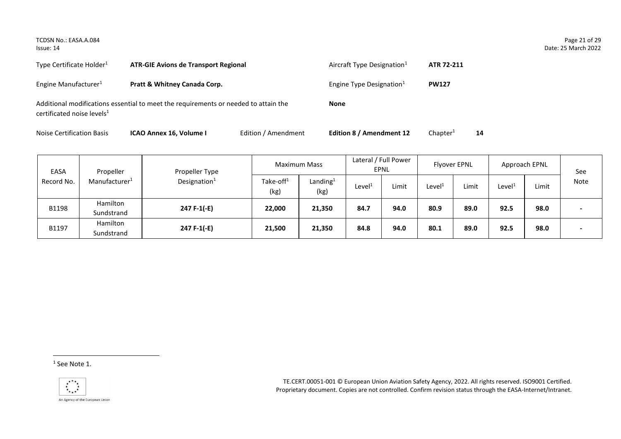| TCDSN No.: EASA.A.084<br>Issue: 14     |                                                                                     |                                        |              | Page 21 of 29<br>Date: 25 March 2022 |
|----------------------------------------|-------------------------------------------------------------------------------------|----------------------------------------|--------------|--------------------------------------|
| Type Certificate Holder <sup>1</sup>   | <b>ATR-GIE Avions de Transport Regional</b>                                         | Aircraft Type Designation <sup>1</sup> | ATR 72-211   |                                      |
| Engine Manufacturer <sup>1</sup>       | Pratt & Whitney Canada Corp.                                                        | Engine Type Designation <sup>1</sup>   | <b>PW127</b> |                                      |
| certificated noise levels <sup>1</sup> | Additional modifications essential to meet the requirements or needed to attain the | <b>None</b>                            |              |                                      |

| EASA<br>Record No. | Propeller<br>Propeller Type |                 | <b>Maximum Mass</b>           |                      | Lateral / Full Power<br><b>EPNL</b> |       | <b>Flyover EPNL</b> |       | Approach EPNL      |       | See  |
|--------------------|-----------------------------|-----------------|-------------------------------|----------------------|-------------------------------------|-------|---------------------|-------|--------------------|-------|------|
|                    | Manufacturer <sup>1</sup>   | Designation $1$ | Take-off <sup>1</sup><br>(kg) | Landing $^1$<br>(kg) | Level <sup>1</sup>                  | Limit | Level <sup>'</sup>  | Limit | Level <del>'</del> | Limit | Note |
| B1198              | Hamilton<br>Sundstrand      | $247 F-1(-E)$   | 22,000                        | 21,350               | 84.7                                | 94.0  | 80.9                | 89.0  | 92.5               | 98.0  |      |
| B1197              | Hamilton<br>Sundstrand      | 247 $F-1(-E)$   | 21,500                        | 21,350               | 84.8                                | 94.0  | 80.1                | 89.0  | 92.5               | 98.0  |      |

1 See Note 1.

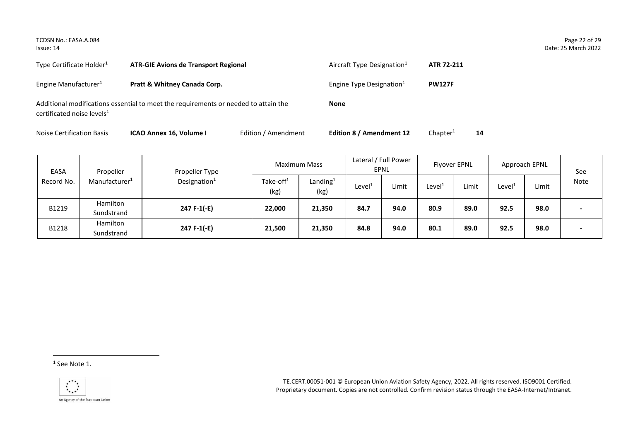| TCDSN No.: EASA.A.084<br>Issue: 14     |                                                                                     |                                        |               | Page 22 of 29<br>Date: 25 March 2022 |
|----------------------------------------|-------------------------------------------------------------------------------------|----------------------------------------|---------------|--------------------------------------|
| Type Certificate Holder <sup>1</sup>   | <b>ATR-GIE Avions de Transport Regional</b>                                         | Aircraft Type Designation <sup>1</sup> | ATR 72-211    |                                      |
| Engine Manufacturer <sup>1</sup>       | Pratt & Whitney Canada Corp.                                                        | Engine Type Designation <sup>1</sup>   | <b>PW127F</b> |                                      |
| certificated noise levels <sup>1</sup> | Additional modifications essential to meet the requirements or needed to attain the | <b>None</b>                            |               |                                      |

| EASA<br>Record No. | Propeller<br>Propeller Type |                 | Maximum Mass                  |                     | Lateral / Full Power<br><b>EPNL</b> |       | <b>Flyover EPNL</b> |       | Approach EPNL |       | See                      |
|--------------------|-----------------------------|-----------------|-------------------------------|---------------------|-------------------------------------|-------|---------------------|-------|---------------|-------|--------------------------|
|                    | Manufacturer <sup>1</sup>   | Designation $1$ | Take-off <sup>1</sup><br>(kg) | Landing $1$<br>(kg) | Level <sup>1</sup>                  | Limit | Level <sup>1</sup>  | Limit | Level'        | Limit | Note                     |
| B1219              | Hamilton<br>Sundstrand      | 247 $F-1(-E)$   | 22,000                        | 21,350              | 84.7                                | 94.0  | 80.9                | 89.0  | 92.5          | 98.0  |                          |
| B1218              | Hamilton<br>Sundstrand      | $247 F-1(-E)$   | 21,500                        | 21,350              | 84.8                                | 94.0  | 80.1                | 89.0  | 92.5          | 98.0  | $\overline{\phantom{0}}$ |

1 See Note 1.

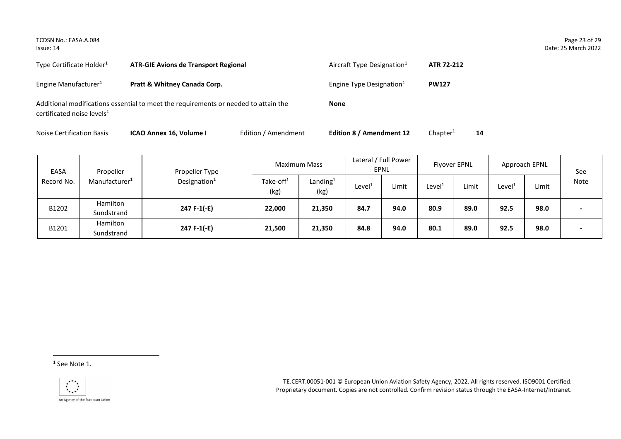| TCDSN No.: EASA.A.084<br>Issue: 14     |                                                                                     |                                        |              | Page 23 of 29<br>Date: 25 March 2022 |
|----------------------------------------|-------------------------------------------------------------------------------------|----------------------------------------|--------------|--------------------------------------|
| Type Certificate Holder <sup>1</sup>   | <b>ATR-GIE Avions de Transport Regional</b>                                         | Aircraft Type Designation <sup>1</sup> | ATR 72-212   |                                      |
| Engine Manufacturer <sup>1</sup>       | Pratt & Whitney Canada Corp.                                                        | Engine Type Designation <sup>1</sup>   | <b>PW127</b> |                                      |
| certificated noise levels <sup>1</sup> | Additional modifications essential to meet the requirements or needed to attain the | <b>None</b>                            |              |                                      |

| <b>EASA</b><br>Record No. | Propeller<br>Propeller Type |                 | <b>Maximum Mass</b>           |                     | Lateral / Full Power<br>EPNL |       | <b>Flyover EPNL</b> |       | Approach EPNL      |       | See         |
|---------------------------|-----------------------------|-----------------|-------------------------------|---------------------|------------------------------|-------|---------------------|-------|--------------------|-------|-------------|
|                           | Manufacturer <sup>1</sup>   | Designation $1$ | Take-off <sup>1</sup><br>(kg) | Landing $1$<br>(kg) | Level'                       | Limit | Level <sup>1</sup>  | Limit | Level <sup>1</sup> | Limit | <b>Note</b> |
| B1202                     | Hamilton                    | $247 F-1(-E)$   | 22,000                        | 21,350              | 84.7                         | 94.0  | 80.9                | 89.0  | 92.5               | 98.0  |             |
|                           | Sundstrand                  |                 |                               |                     |                              |       |                     |       |                    |       |             |
| B1201                     | Hamilton                    | $247 F-1(-E)$   | 21,500                        | 21,350              | 84.8                         | 94.0  | 80.1                | 89.0  | 92.5               | 98.0  |             |
|                           | Sundstrand                  |                 |                               |                     |                              |       |                     |       |                    |       |             |

1 See Note 1.

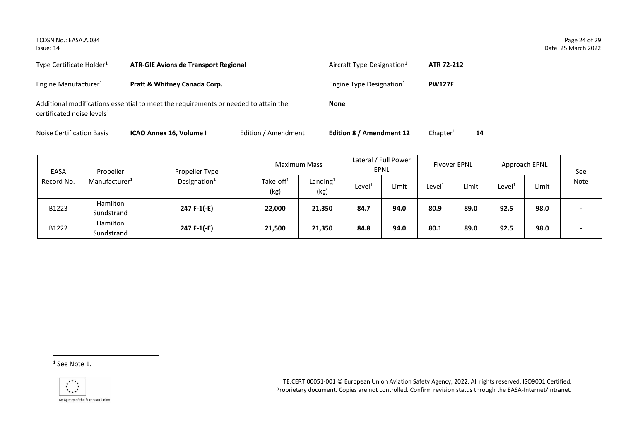| TCDSN No.: EASA.A.084<br>Issue: 14     |                                                                                     |                                        |               | Date: 25 March 2022 |
|----------------------------------------|-------------------------------------------------------------------------------------|----------------------------------------|---------------|---------------------|
| Type Certificate Holder <sup>1</sup>   | <b>ATR-GIE Avions de Transport Regional</b>                                         | Aircraft Type Designation <sup>1</sup> | ATR 72-212    |                     |
| Engine Manufacturer <sup>1</sup>       | Pratt & Whitney Canada Corp.                                                        | Engine Type Designation <sup>1</sup>   | <b>PW127F</b> |                     |
| certificated noise levels <sup>1</sup> | Additional modifications essential to meet the requirements or needed to attain the | <b>None</b>                            |               |                     |

| EASA<br>Record No. | Propeller<br>Propeller Type |                 | <b>Maximum Mass</b>           |                     | Lateral / Full Power<br><b>EPNL</b> |       | <b>Flyover EPNL</b> |       | Approach EPNL      |       | See  |
|--------------------|-----------------------------|-----------------|-------------------------------|---------------------|-------------------------------------|-------|---------------------|-------|--------------------|-------|------|
|                    | Manufacturer <sup>1</sup>   | Designation $1$ | Take-off <sup>1</sup><br>(kg) | Landing $1$<br>(kg) | Level <sup>1</sup>                  | Limit | Level <sup>1</sup>  | Limit | Level <del>'</del> | Limit | Note |
| B1223              | Hamilton<br>Sundstrand      | $247 F-1(-E)$   | 22,000                        | 21,350              | 84.7                                | 94.0  | 80.9                | 89.0  | 92.5               | 98.0  |      |
| B1222              | Hamilton<br>Sundstrand      | $247 F-1(-E)$   | 21,500                        | 21,350              | 84.8                                | 94.0  | 80.1                | 89.0  | 92.5               | 98.0  |      |

1 See Note 1.

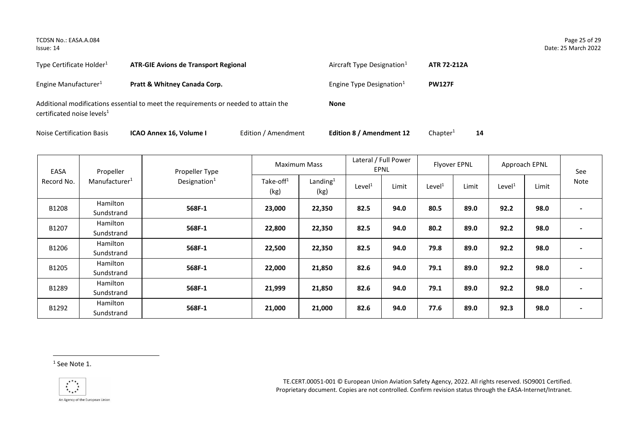| TCDSN No.: EASA.A.084<br>Issue: 14     |                                                                                     |                                        |               | Page 25 of 29<br>Date: 25 March 2022 |
|----------------------------------------|-------------------------------------------------------------------------------------|----------------------------------------|---------------|--------------------------------------|
| Type Certificate Holder <sup>1</sup>   | <b>ATR-GIE Avions de Transport Regional</b>                                         | Aircraft Type Designation <sup>1</sup> | ATR 72-212A   |                                      |
| Engine Manufacturer <sup>1</sup>       | Pratt & Whitney Canada Corp.                                                        | Engine Type Designation <sup>1</sup>   | <b>PW127F</b> |                                      |
| certificated noise levels <sup>1</sup> | Additional modifications essential to meet the requirements or needed to attain the | <b>None</b>                            |               |                                      |

| Edition 8 / Amendment 12<br>Noise Certification Basis<br>Edition / Amendment<br><b>ICAO Annex 16. Volume I</b><br>Chapter <sup>1</sup><br>14 |
|----------------------------------------------------------------------------------------------------------------------------------------------|
|----------------------------------------------------------------------------------------------------------------------------------------------|

| EASA       | Propeller                     | Propeller Type  |                               | <b>Maximum Mass</b> |           | Lateral / Full Power<br>EPNL |           | <b>Flyover EPNL</b> |                    | Approach EPNL |      |
|------------|-------------------------------|-----------------|-------------------------------|---------------------|-----------|------------------------------|-----------|---------------------|--------------------|---------------|------|
| Record No. | Manufacturer <sup>1</sup>     | Designation $1$ | Take-off <sup>1</sup><br>(kg) | Landing $1$<br>(kg) | Level $1$ | Limit                        | Level $1$ | Limit               | Level <sup>1</sup> | Limit         | Note |
| B1208      | Hamilton<br>Sundstrand        | 568F-1          | 23,000                        | 22,350              | 82.5      | 94.0                         | 80.5      | 89.0                | 92.2               | 98.0          |      |
| B1207      | Hamilton<br>Sundstrand        | 568F-1          | 22,800                        | 22,350              | 82.5      | 94.0                         | 80.2      | 89.0                | 92.2               | 98.0          |      |
| B1206      | <b>Hamilton</b><br>Sundstrand | 568F-1          | 22,500                        | 22,350              | 82.5      | 94.0                         | 79.8      | 89.0                | 92.2               | 98.0          |      |
| B1205      | Hamilton<br>Sundstrand        | 568F-1          | 22,000                        | 21,850              | 82.6      | 94.0                         | 79.1      | 89.0                | 92.2               | 98.0          |      |
| B1289      | Hamilton<br>Sundstrand        | 568F-1          | 21,999                        | 21,850              | 82.6      | 94.0                         | 79.1      | 89.0                | 92.2               | 98.0          |      |
| B1292      | Hamilton<br>Sundstrand        | 568F-1          | 21,000                        | 21,000              | 82.6      | 94.0                         | 77.6      | 89.0                | 92.3               | 98.0          |      |

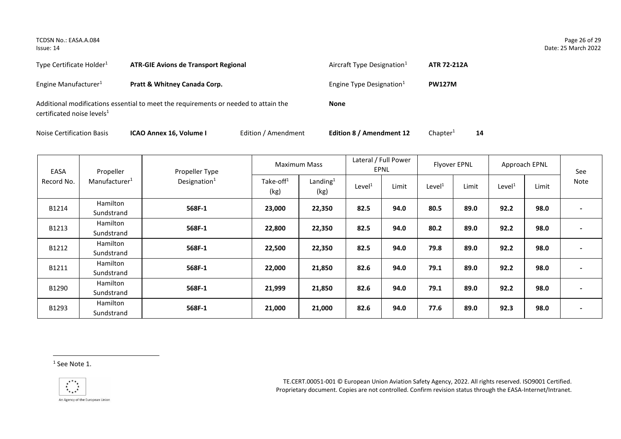| TCDSN No.: EASA.A.084<br>Issue: 14     |                                                                                     |                                        |                    | Page 26 of 29<br>Date: 25 March 2022 |
|----------------------------------------|-------------------------------------------------------------------------------------|----------------------------------------|--------------------|--------------------------------------|
| Type Certificate Holder <sup>1</sup>   | <b>ATR-GIE Avions de Transport Regional</b>                                         | Aircraft Type Designation <sup>1</sup> | <b>ATR 72-212A</b> |                                      |
| Engine Manufacturer <sup>1</sup>       | <b>Pratt &amp; Whitney Canada Corp.</b>                                             | Engine Type Designation <sup>1</sup>   | <b>PW127M</b>      |                                      |
| certificated noise levels <sup>1</sup> | Additional modifications essential to meet the requirements or needed to attain the | <b>None</b>                            |                    |                                      |

| Edition 8 / Amendment 12<br><b>Noise Certification Basis</b><br>ICAO Annex 16, Volume I<br>Edition / Amendment<br>Chapter <sup>1</sup> |  | 14 |
|----------------------------------------------------------------------------------------------------------------------------------------|--|----|
|----------------------------------------------------------------------------------------------------------------------------------------|--|----|

| EASA<br>Propeller |                           | Propeller Type  | <b>Maximum Mass</b>  |                     | Lateral / Full Power<br><b>EPNL</b> |       | Flyover EPNL |       | Approach EPNL      |       | See                      |
|-------------------|---------------------------|-----------------|----------------------|---------------------|-------------------------------------|-------|--------------|-------|--------------------|-------|--------------------------|
| Record No.        | Manufacturer <sup>1</sup> | Designation $1$ | Take-off $1$<br>(kg) | Landing $1$<br>(kg) | Level <sup>1</sup>                  | Limit | Level $1$    | Limit | Level <sup>1</sup> | Limit | Note                     |
| B1214             | Hamilton<br>Sundstrand    | 568F-1          | 23,000               | 22,350              | 82.5                                | 94.0  | 80.5         | 89.0  | 92.2               | 98.0  |                          |
| B1213             | Hamilton<br>Sundstrand    | 568F-1          | 22,800               | 22,350              | 82.5                                | 94.0  | 80.2         | 89.0  | 92.2               | 98.0  |                          |
| B1212             | Hamilton<br>Sundstrand    | 568F-1          | 22,500               | 22,350              | 82.5                                | 94.0  | 79.8         | 89.0  | 92.2               | 98.0  |                          |
| B1211             | Hamilton<br>Sundstrand    | 568F-1          | 22,000               | 21,850              | 82.6                                | 94.0  | 79.1         | 89.0  | 92.2               | 98.0  |                          |
| B1290             | Hamilton<br>Sundstrand    | 568F-1          | 21,999               | 21,850              | 82.6                                | 94.0  | 79.1         | 89.0  | 92.2               | 98.0  |                          |
| B1293             | Hamilton<br>Sundstrand    | 568F-1          | 21,000               | 21,000              | 82.6                                | 94.0  | 77.6         | 89.0  | 92.3               | 98.0  | $\overline{\phantom{a}}$ |

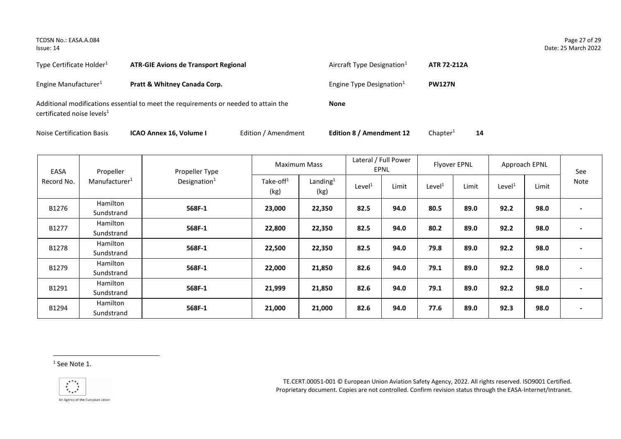| TCDSN No.: EASA.A.084<br>Issue: 14     |                                                                                     |                                        |               | Page 27 of 29<br>Date: 25 March 2022 |
|----------------------------------------|-------------------------------------------------------------------------------------|----------------------------------------|---------------|--------------------------------------|
| Type Certificate Holder <sup>1</sup>   | <b>ATR-GIE Avions de Transport Regional</b>                                         | Aircraft Type Designation <sup>1</sup> | ATR 72-212A   |                                      |
| Engine Manufacturer <sup>1</sup>       | <b>Pratt &amp; Whitney Canada Corp.</b>                                             | Engine Type Designation $1$            | <b>PW127N</b> |                                      |
| certificated noise levels <sup>1</sup> | Additional modifications essential to meet the requirements or needed to attain the | <b>None</b>                            |               |                                      |

| Edition 8 / Amendment 12<br>Noise Certification Basis<br>Edition / Amendment<br><b>ICAO Annex 16. Volume I</b><br>Chapter <sup>1</sup><br>14 |
|----------------------------------------------------------------------------------------------------------------------------------------------|
|----------------------------------------------------------------------------------------------------------------------------------------------|

| EASA<br>Propeller |                                              | Propeller Type                | <b>Maximum Mass</b> |           | Lateral / Full Power<br>EPNL |           | Flyover EPNL |                    | Approach EPNL |      | See |
|-------------------|----------------------------------------------|-------------------------------|---------------------|-----------|------------------------------|-----------|--------------|--------------------|---------------|------|-----|
| Record No.        | Manufacturer <sup>1</sup><br>Designation $1$ | Take-off <sup>1</sup><br>(kg) | Landing $1$<br>(kg) | Level $1$ | Limit                        | Level $1$ | Limit        | Level <sup>1</sup> | Limit         | Note |     |
| B1276             | Hamilton<br>Sundstrand                       | 568F-1                        | 23,000              | 22,350    | 82.5                         | 94.0      | 80.5         | 89.0               | 92.2          | 98.0 |     |
| B1277             | Hamilton<br>Sundstrand                       | 568F-1                        | 22,800              | 22,350    | 82.5                         | 94.0      | 80.2         | 89.0               | 92.2          | 98.0 |     |
| B1278             | Hamilton<br>Sundstrand                       | 568F-1                        | 22,500              | 22,350    | 82.5                         | 94.0      | 79.8         | 89.0               | 92.2          | 98.0 |     |
| B1279             | Hamilton<br>Sundstrand                       | 568F-1                        | 22,000              | 21,850    | 82.6                         | 94.0      | 79.1         | 89.0               | 92.2          | 98.0 |     |
| B1291             | Hamilton<br>Sundstrand                       | 568F-1                        | 21,999              | 21,850    | 82.6                         | 94.0      | 79.1         | 89.0               | 92.2          | 98.0 |     |
| B1294             | Hamilton<br>Sundstrand                       | 568F-1                        | 21,000              | 21,000    | 82.6                         | 94.0      | 77.6         | 89.0               | 92.3          | 98.0 |     |

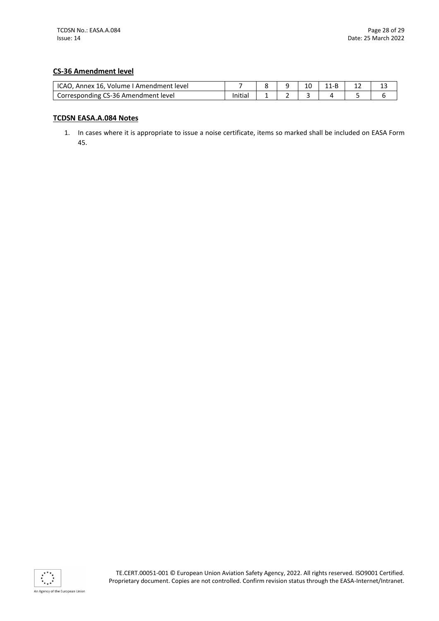#### **CS-36 Amendment level**

| ICAO.<br>  Amendment level <br>Volume l<br>Annex<br>Ίh |  |   | ⊥∪ | . . | -- | ᅩ |
|--------------------------------------------------------|--|---|----|-----|----|---|
| level<br>$-$<br>:S-36 Amendment<br>responding<br>ັບ    |  | - |    |     |    |   |

#### **TCDSN EASA.A.084 Notes**

1. In cases where it is appropriate to issue a noise certificate, items so marked shall be included on EASA Form 45.